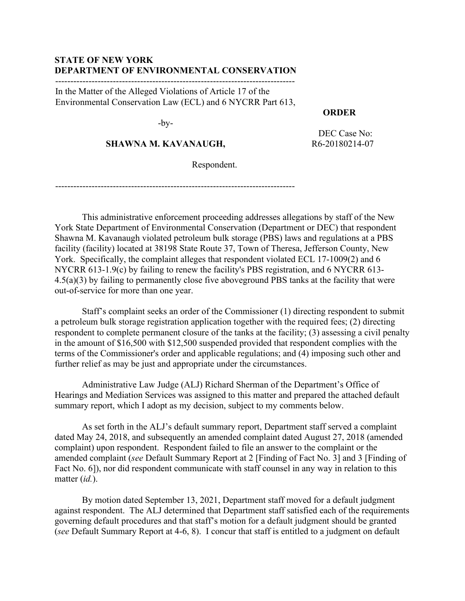### **STATE OF NEW YORK DEPARTMENT OF ENVIRONMENTAL CONSERVATION**

-------------------------------------------------------------------------------

In the Matter of the Alleged Violations of Article 17 of the Environmental Conservation Law (ECL) and 6 NYCRR Part 613,

-by-

### **SHAWNA M. KAVANAUGH,**

 DEC Case No: R6-20180214-07

 **ORDER**

Respondent.

-------------------------------------------------------------------------------

This administrative enforcement proceeding addresses allegations by staff of the New York State Department of Environmental Conservation (Department or DEC) that respondent Shawna M. Kavanaugh violated petroleum bulk storage (PBS) laws and regulations at a PBS facility (facility) located at 38198 State Route 37, Town of Theresa, Jefferson County, New York. Specifically, the complaint alleges that respondent violated ECL 17-1009(2) and 6 NYCRR 613-1.9(c) by failing to renew the facility's PBS registration, and 6 NYCRR 613- 4.5(a)(3) by failing to permanently close five aboveground PBS tanks at the facility that were out-of-service for more than one year.

Staff's complaint seeks an order of the Commissioner (1) directing respondent to submit a petroleum bulk storage registration application together with the required fees; (2) directing respondent to complete permanent closure of the tanks at the facility; (3) assessing a civil penalty in the amount of \$16,500 with \$12,500 suspended provided that respondent complies with the terms of the Commissioner's order and applicable regulations; and (4) imposing such other and further relief as may be just and appropriate under the circumstances.

Administrative Law Judge (ALJ) Richard Sherman of the Department's Office of Hearings and Mediation Services was assigned to this matter and prepared the attached default summary report, which I adopt as my decision, subject to my comments below.

As set forth in the ALJ's default summary report, Department staff served a complaint dated May 24, 2018, and subsequently an amended complaint dated August 27, 2018 (amended complaint) upon respondent. Respondent failed to file an answer to the complaint or the amended complaint (*see* Default Summary Report at 2 [Finding of Fact No. 3] and 3 [Finding of Fact No. 6]), nor did respondent communicate with staff counsel in any way in relation to this matter (*id.*).

By motion dated September 13, 2021, Department staff moved for a default judgment against respondent. The ALJ determined that Department staff satisfied each of the requirements governing default procedures and that staff's motion for a default judgment should be granted (*see* Default Summary Report at 4-6, 8). I concur that staff is entitled to a judgment on default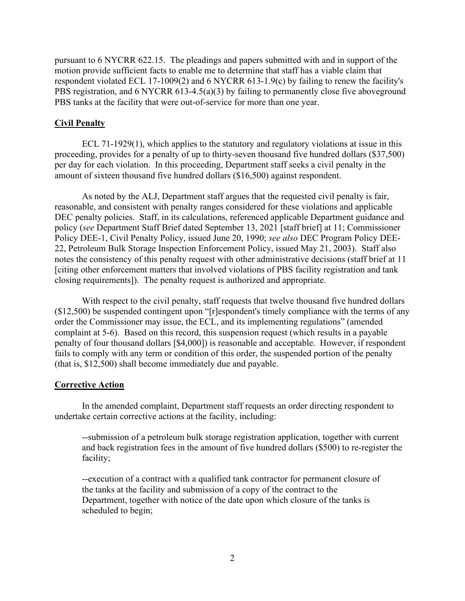pursuant to 6 NYCRR 622.15. The pleadings and papers submitted with and in support of the motion provide sufficient facts to enable me to determine that staff has a viable claim that respondent violated ECL 17-1009(2) and 6 NYCRR 613-1.9(c) by failing to renew the facility's PBS registration, and 6 NYCRR 613-4.5(a)(3) by failing to permanently close five aboveground PBS tanks at the facility that were out-of-service for more than one year.

#### **Civil Penalty**

ECL 71-1929(1), which applies to the statutory and regulatory violations at issue in this proceeding, provides for a penalty of up to thirty-seven thousand five hundred dollars (\$37,500) per day for each violation. In this proceeding, Department staff seeks a civil penalty in the amount of sixteen thousand five hundred dollars (\$16,500) against respondent.

As noted by the ALJ, Department staff argues that the requested civil penalty is fair, reasonable, and consistent with penalty ranges considered for these violations and applicable DEC penalty policies. Staff, in its calculations, referenced applicable Department guidance and policy (*see* Department Staff Brief dated September 13, 2021 [staff brief] at 11; Commissioner Policy DEE-1, Civil Penalty Policy, issued June 20, 1990; *see also* DEC Program Policy DEE-22, Petroleum Bulk Storage Inspection Enforcement Policy, issued May 21, 2003). Staff also notes the consistency of this penalty request with other administrative decisions (staff brief at 11 [citing other enforcement matters that involved violations of PBS facility registration and tank closing requirements]). The penalty request is authorized and appropriate.

With respect to the civil penalty, staff requests that twelve thousand five hundred dollars  $($12,500)$  be suspended contingent upon "[r]espondent's timely compliance with the terms of any order the Commissioner may issue, the ECL, and its implementing regulations" (amended complaint at 5-6). Based on this record, this suspension request (which results in a payable penalty of four thousand dollars [\$4,000]) is reasonable and acceptable. However, if respondent fails to comply with any term or condition of this order, the suspended portion of the penalty (that is, \$12,500) shall become immediately due and payable.

#### **Corrective Action**

In the amended complaint, Department staff requests an order directing respondent to undertake certain corrective actions at the facility, including:

--submission of a petroleum bulk storage registration application, together with current and back registration fees in the amount of five hundred dollars (\$500) to re-register the facility;

--execution of a contract with a qualified tank contractor for permanent closure of the tanks at the facility and submission of a copy of the contract to the Department, together with notice of the date upon which closure of the tanks is scheduled to begin;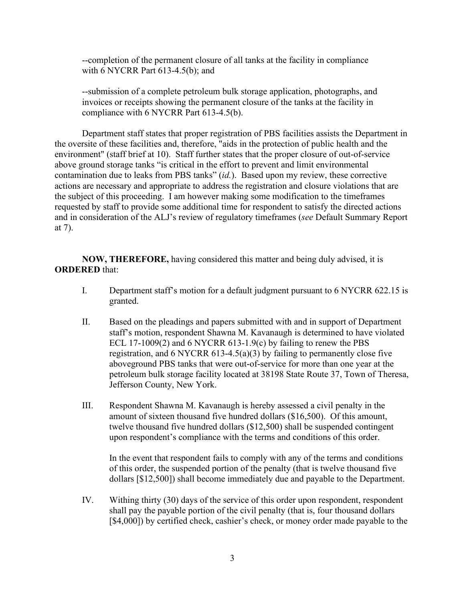--completion of the permanent closure of all tanks at the facility in compliance with 6 NYCRR Part 613-4.5(b); and

--submission of a complete petroleum bulk storage application, photographs, and invoices or receipts showing the permanent closure of the tanks at the facility in compliance with 6 NYCRR Part 613-4.5(b).

Department staff states that proper registration of PBS facilities assists the Department in the oversite of these facilities and, therefore, "aids in the protection of public health and the environment" (staff brief at 10). Staff further states that the proper closure of out-of-service above ground storage tanks "is critical in the effort to prevent and limit environmental contamination due to leaks from PBS tanks" (*id.*). Based upon my review, these corrective actions are necessary and appropriate to address the registration and closure violations that are the subject of this proceeding. I am however making some modification to the timeframes requested by staff to provide some additional time for respondent to satisfy the directed actions and in consideration of the ALJ's review of regulatory timeframes (*see* Default Summary Report at 7).

**NOW, THEREFORE,** having considered this matter and being duly advised, it is **ORDERED** that:

- I. Department staff's motion for a default judgment pursuant to 6 NYCRR 622.15 is granted.
- II. Based on the pleadings and papers submitted with and in support of Department staff's motion, respondent Shawna M. Kavanaugh is determined to have violated ECL 17-1009(2) and 6 NYCRR 613-1.9(c) by failing to renew the PBS registration, and 6 NYCRR 613-4.5(a)(3) by failing to permanently close five aboveground PBS tanks that were out-of-service for more than one year at the petroleum bulk storage facility located at 38198 State Route 37, Town of Theresa, Jefferson County, New York.
- III. Respondent Shawna M. Kavanaugh is hereby assessed a civil penalty in the amount of sixteen thousand five hundred dollars (\$16,500). Of this amount, twelve thousand five hundred dollars (\$12,500) shall be suspended contingent upon respondent's compliance with the terms and conditions of this order.

In the event that respondent fails to comply with any of the terms and conditions of this order, the suspended portion of the penalty (that is twelve thousand five dollars [\$12,500]) shall become immediately due and payable to the Department.

IV. Withing thirty (30) days of the service of this order upon respondent, respondent shall pay the payable portion of the civil penalty (that is, four thousand dollars [\$4,000]) by certified check, cashier's check, or money order made payable to the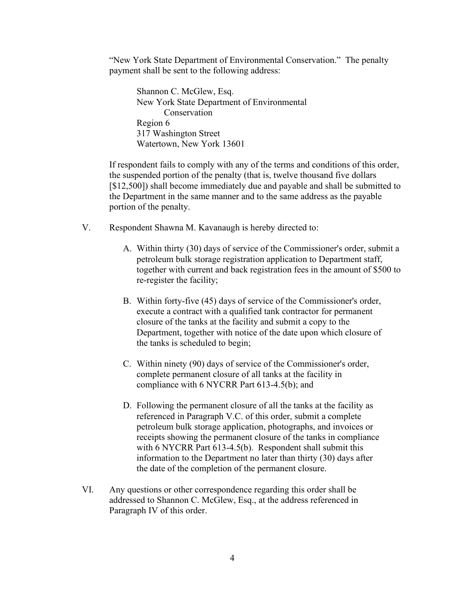"New York State Department of Environmental Conservation." The penalty payment shall be sent to the following address:

Shannon C. McGlew, Esq. New York State Department of Environmental Conservation Region 6 317 Washington Street Watertown, New York 13601

If respondent fails to comply with any of the terms and conditions of this order, the suspended portion of the penalty (that is, twelve thousand five dollars [\$12,500]) shall become immediately due and payable and shall be submitted to the Department in the same manner and to the same address as the payable portion of the penalty.

- V. Respondent Shawna M. Kavanaugh is hereby directed to:
	- A. Within thirty (30) days of service of the Commissioner's order, submit a petroleum bulk storage registration application to Department staff, together with current and back registration fees in the amount of \$500 to re-register the facility;
	- B. Within forty-five (45) days of service of the Commissioner's order, execute a contract with a qualified tank contractor for permanent closure of the tanks at the facility and submit a copy to the Department, together with notice of the date upon which closure of the tanks is scheduled to begin;
	- C. Within ninety (90) days of service of the Commissioner's order, complete permanent closure of all tanks at the facility in compliance with 6 NYCRR Part 613-4.5(b); and
	- D. Following the permanent closure of all the tanks at the facility as referenced in Paragraph V.C. of this order, submit a complete petroleum bulk storage application, photographs, and invoices or receipts showing the permanent closure of the tanks in compliance with 6 NYCRR Part 613-4.5(b). Respondent shall submit this information to the Department no later than thirty (30) days after the date of the completion of the permanent closure.
- VI. Any questions or other correspondence regarding this order shall be addressed to Shannon C. McGlew, Esq., at the address referenced in Paragraph IV of this order.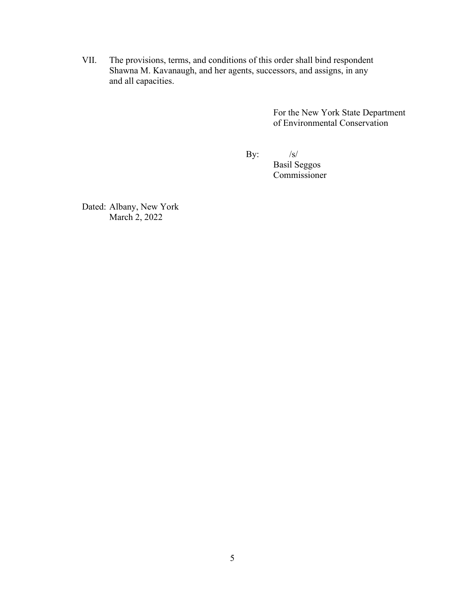VII. The provisions, terms, and conditions of this order shall bind respondent Shawna M. Kavanaugh, and her agents, successors, and assigns, in any and all capacities.

> For the New York State Department of Environmental Conservation

By:  $/s/$ 

Basil Seggos Commissioner

Dated: Albany, New York March 2, 2022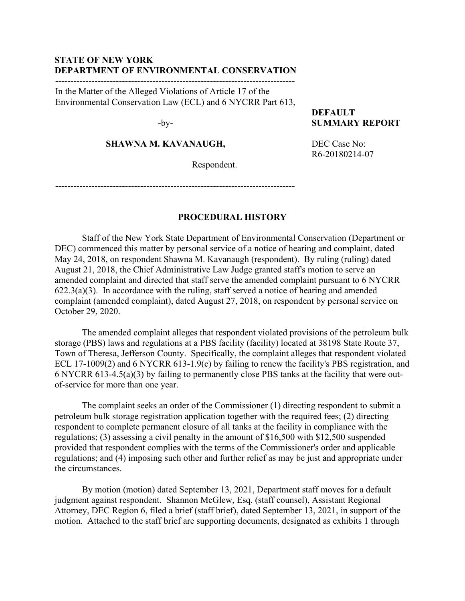### **STATE OF NEW YORK DEPARTMENT OF ENVIRONMENTAL CONSERVATION**

-------------------------------------------------------------------------------

In the Matter of the Alleged Violations of Article 17 of the Environmental Conservation Law (ECL) and 6 NYCRR Part 613,

-by-

### **SHAWNA M. KAVANAUGH,**

Respondent.

**DEFAULT SUMMARY REPORT**

DEC Case No: R6-20180214-07

-------------------------------------------------------------------------------

### **PROCEDURAL HISTORY**

Staff of the New York State Department of Environmental Conservation (Department or DEC) commenced this matter by personal service of a notice of hearing and complaint, dated May 24, 2018, on respondent Shawna M. Kavanaugh (respondent). By ruling (ruling) dated August 21, 2018, the Chief Administrative Law Judge granted staff's motion to serve an amended complaint and directed that staff serve the amended complaint pursuant to 6 NYCRR  $622.3(a)(3)$ . In accordance with the ruling, staff served a notice of hearing and amended complaint (amended complaint), dated August 27, 2018, on respondent by personal service on October 29, 2020.

The amended complaint alleges that respondent violated provisions of the petroleum bulk storage (PBS) laws and regulations at a PBS facility (facility) located at 38198 State Route 37, Town of Theresa, Jefferson County. Specifically, the complaint alleges that respondent violated ECL 17-1009(2) and 6 NYCRR 613-1.9(c) by failing to renew the facility's PBS registration, and 6 NYCRR 613-4.5(a)(3) by failing to permanently close PBS tanks at the facility that were outof-service for more than one year.

The complaint seeks an order of the Commissioner (1) directing respondent to submit a petroleum bulk storage registration application together with the required fees; (2) directing respondent to complete permanent closure of all tanks at the facility in compliance with the regulations; (3) assessing a civil penalty in the amount of \$16,500 with \$12,500 suspended provided that respondent complies with the terms of the Commissioner's order and applicable regulations; and (4) imposing such other and further relief as may be just and appropriate under the circumstances.

By motion (motion) dated September 13, 2021, Department staff moves for a default judgment against respondent. Shannon McGlew, Esq. (staff counsel), Assistant Regional Attorney, DEC Region 6, filed a brief (staff brief), dated September 13, 2021, in support of the motion. Attached to the staff brief are supporting documents, designated as exhibits 1 through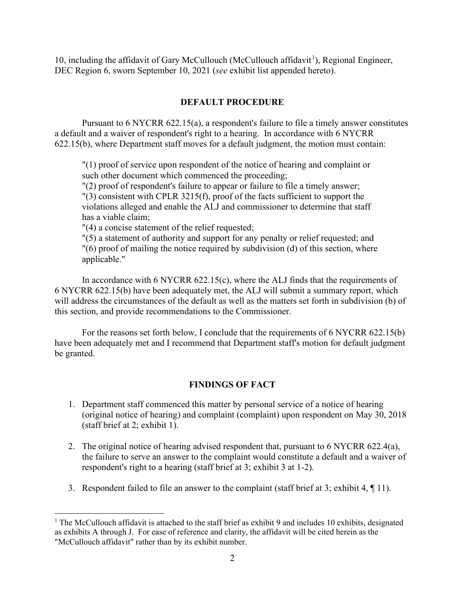[1](#page-6-0)0, including the affidavit of Gary McCullouch (McCullouch affidavit<sup>1</sup>), Regional Engineer, DEC Region 6, sworn September 10, 2021 (*see* exhibit list appended hereto).

### **DEFAULT PROCEDURE**

Pursuant to 6 NYCRR 622.15(a), a respondent's failure to file a timely answer constitutes a default and a waiver of respondent's right to a hearing. In accordance with 6 NYCRR 622.15(b), where Department staff moves for a default judgment, the motion must contain:

"(1) proof of service upon respondent of the notice of hearing and complaint or such other document which commenced the proceeding;

"(2) proof of respondent's failure to appear or failure to file a timely answer;  $''(3)$  consistent with CPLR 3215(f), proof of the facts sufficient to support the violations alleged and enable the ALJ and commissioner to determine that staff has a viable claim;

"(4) a concise statement of the relief requested;

 $\Gamma(5)$  a statement of authority and support for any penalty or relief requested; and "(6) proof of mailing the notice required by subdivision (d) of this section, where applicable."

In accordance with 6 NYCRR 622.15(c), where the ALJ finds that the requirements of 6 NYCRR 622.15(b) have been adequately met, the ALJ will submit a summary report, which will address the circumstances of the default as well as the matters set forth in subdivision (b) of this section, and provide recommendations to the Commissioner.

For the reasons set forth below, I conclude that the requirements of 6 NYCRR 622.15(b) have been adequately met and I recommend that Department staff's motion for default judgment be granted.

## **FINDINGS OF FACT**

- 1. Department staff commenced this matter by personal service of a notice of hearing (original notice of hearing) and complaint (complaint) upon respondent on May 30, 2018 (staff brief at 2; exhibit 1).
- 2. The original notice of hearing advised respondent that, pursuant to 6 NYCRR 622.4(a), the failure to serve an answer to the complaint would constitute a default and a waiver of respondent's right to a hearing (staff brief at 3; exhibit 3 at 1-2).
- 3. Respondent failed to file an answer to the complaint (staff brief at 3; exhibit 4, ¶ 11).

<span id="page-6-0"></span> $1$  The McCullouch affidavit is attached to the staff brief as exhibit 9 and includes 10 exhibits, designated as exhibits A through J. For ease of reference and clarity, the affidavit will be cited herein as the "McCullouch affidavit" rather than by its exhibit number.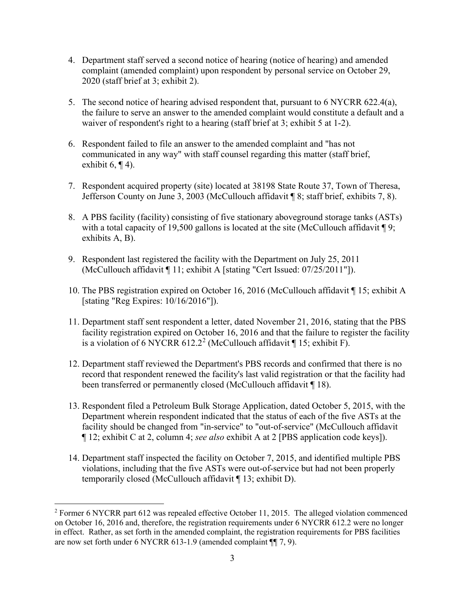- 4. Department staff served a second notice of hearing (notice of hearing) and amended complaint (amended complaint) upon respondent by personal service on October 29, 2020 (staff brief at 3; exhibit 2).
- 5. The second notice of hearing advised respondent that, pursuant to 6 NYCRR 622.4(a), the failure to serve an answer to the amended complaint would constitute a default and a waiver of respondent's right to a hearing (staff brief at 3; exhibit 5 at 1-2).
- 6. Respondent failed to file an answer to the amended complaint and "has not communicated in any way" with staff counsel regarding this matter (staff brief, exhibit 6,  $\P$  4).
- 7. Respondent acquired property (site) located at 38198 State Route 37, Town of Theresa, Jefferson County on June 3, 2003 (McCullouch affidavit ¶ 8; staff brief, exhibits 7, 8).
- 8. A PBS facility (facility) consisting of five stationary aboveground storage tanks (ASTs) with a total capacity of 19,500 gallons is located at the site (McCullouch affidavit  $\P$ 9; exhibits A, B).
- 9. Respondent last registered the facility with the Department on July 25, 2011 (McCullouch affidavit ¶ 11; exhibit A [stating "Cert Issued: 07/25/2011"]).
- 10. The PBS registration expired on October 16, 2016 (McCullouch affidavit ¶ 15; exhibit A [stating "Reg Expires: 10/16/2016"]).
- 11. Department staff sent respondent a letter, dated November 21, 2016, stating that the PBS facility registration expired on October 16, 2016 and that the failure to register the facility is a violation of 6 NYCRR 61[2](#page-7-0).2<sup>2</sup> (McCullouch affidavit  $\P$  15; exhibit F).
- 12. Department staff reviewed the Department's PBS records and confirmed that there is no record that respondent renewed the facility's last valid registration or that the facility had been transferred or permanently closed (McCullouch affidavit ¶ 18).
- 13. Respondent filed a Petroleum Bulk Storage Application, dated October 5, 2015, with the Department wherein respondent indicated that the status of each of the five ASTs at the facility should be changed from "in-service" to "out-of-service" (McCullouch affidavit ¶ 12; exhibit C at 2, column 4; *see also* exhibit A at 2 [PBS application code keys]).
- 14. Department staff inspected the facility on October 7, 2015, and identified multiple PBS violations, including that the five ASTs were out-of-service but had not been properly temporarily closed (McCullouch affidavit ¶ 13; exhibit D).

<span id="page-7-0"></span><sup>&</sup>lt;sup>2</sup> Former 6 NYCRR part 612 was repealed effective October 11, 2015. The alleged violation commenced on October 16, 2016 and, therefore, the registration requirements under 6 NYCRR 612.2 were no longer in effect. Rather, as set forth in the amended complaint, the registration requirements for PBS facilities are now set forth under 6 NYCRR 613-1.9 (amended complaint ¶¶ 7, 9).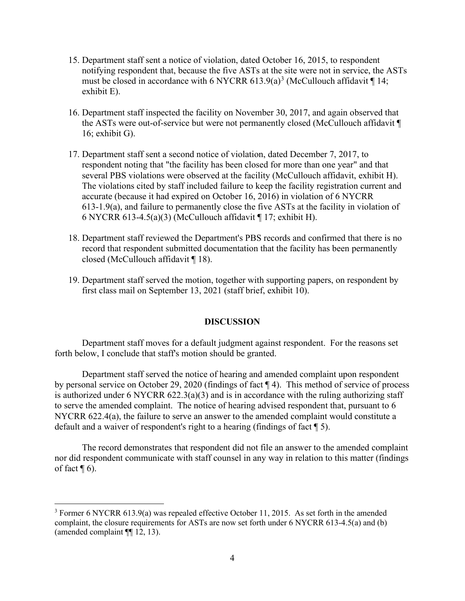- 15. Department staff sent a notice of violation, dated October 16, 2015, to respondent notifying respondent that, because the five ASTs at the site were not in service, the ASTs must be closed in accordance with 6 NYCRR 61[3](#page-8-0).9(a)<sup>3</sup> (McCullouch affidavit  $\P$  14; exhibit E).
- 16. Department staff inspected the facility on November 30, 2017, and again observed that the ASTs were out-of-service but were not permanently closed (McCullouch affidavit ¶ 16; exhibit G).
- 17. Department staff sent a second notice of violation, dated December 7, 2017, to respondent noting that "the facility has been closed for more than one year" and that several PBS violations were observed at the facility (McCullouch affidavit, exhibit H). The violations cited by staff included failure to keep the facility registration current and accurate (because it had expired on October 16, 2016) in violation of 6 NYCRR 613-1.9(a), and failure to permanently close the five ASTs at the facility in violation of 6 NYCRR 613-4.5(a)(3) (McCullouch affidavit  $\P$  17; exhibit H).
- 18. Department staff reviewed the Department's PBS records and confirmed that there is no record that respondent submitted documentation that the facility has been permanently closed (McCullouch affidavit ¶ 18).
- 19. Department staff served the motion, together with supporting papers, on respondent by first class mail on September 13, 2021 (staff brief, exhibit 10).

### **DISCUSSION**

Department staff moves for a default judgment against respondent. For the reasons set forth below, I conclude that staff's motion should be granted.

Department staff served the notice of hearing and amended complaint upon respondent by personal service on October 29, 2020 (findings of fact ¶ 4). This method of service of process is authorized under 6 NYCRR  $622.3(a)(3)$  and is in accordance with the ruling authorizing staff to serve the amended complaint. The notice of hearing advised respondent that, pursuant to 6 NYCRR 622.4(a), the failure to serve an answer to the amended complaint would constitute a default and a waiver of respondent's right to a hearing (findings of fact ¶ 5).

The record demonstrates that respondent did not file an answer to the amended complaint nor did respondent communicate with staff counsel in any way in relation to this matter (findings of fact  $\P$  6).

<span id="page-8-0"></span><sup>3</sup> Former 6 NYCRR 613.9(a) was repealed effective October 11, 2015. As set forth in the amended complaint, the closure requirements for ASTs are now set forth under 6 NYCRR 613-4.5(a) and (b) (amended complaint ¶¶ 12, 13).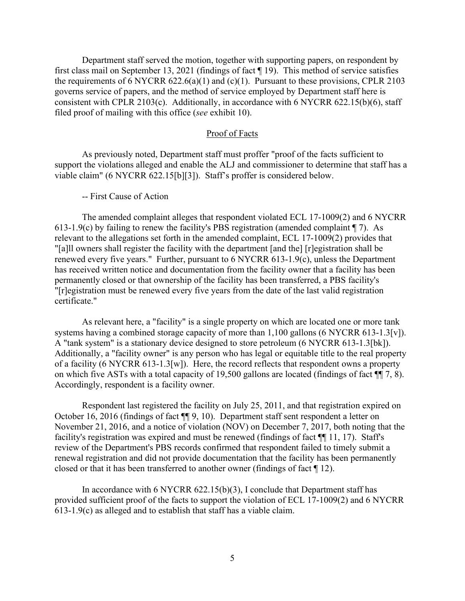Department staff served the motion, together with supporting papers, on respondent by first class mail on September 13, 2021 (findings of fact ¶ 19). This method of service satisfies the requirements of 6 NYCRR  $622.6(a)(1)$  and  $(c)(1)$ . Pursuant to these provisions, CPLR 2103 governs service of papers, and the method of service employed by Department staff here is consistent with CPLR 2103(c). Additionally, in accordance with 6 NYCRR 622.15(b)(6), staff filed proof of mailing with this office (*see* exhibit 10).

### Proof of Facts

As previously noted, Department staff must proffer "proof of the facts sufficient to support the violations alleged and enable the ALJ and commissioner to determine that staff has a viable claim" (6 NYCRR 622.15[b][3]). Staff's proffer is considered below.

-- First Cause of Action

The amended complaint alleges that respondent violated ECL 17-1009(2) and 6 NYCRR 613-1.9(c) by failing to renew the facility's PBS registration (amended complaint  $\P$  7). As relevant to the allegations set forth in the amended complaint, ECL 17-1009(2) provides that "[a]ll owners shall register the facility with the department [and the] [r]egistration shall be renewed every five years." Further, pursuant to 6 NYCRR 613-1.9(c), unless the Department has received written notice and documentation from the facility owner that a facility has been permanently closed or that ownership of the facility has been transferred, a PBS facility's "[r]egistration must be renewed every five years from the date of the last valid registration certificate."

As relevant here, a "facility" is a single property on which are located one or more tank systems having a combined storage capacity of more than 1,100 gallons (6 NYCRR 613-1.3[v]). A "tank system" is a stationary device designed to store petroleum (6 NYCRR 613-1.3[bk]). Additionally, a "facility owner" is any person who has legal or equitable title to the real property of a facility (6 NYCRR 613-1.3[w]). Here, the record reflects that respondent owns a property on which five ASTs with a total capacity of 19,500 gallons are located (findings of fact ¶¶ 7, 8). Accordingly, respondent is a facility owner.

Respondent last registered the facility on July 25, 2011, and that registration expired on October 16, 2016 (findings of fact ¶¶ 9, 10). Department staff sent respondent a letter on November 21, 2016, and a notice of violation (NOV) on December 7, 2017, both noting that the facility's registration was expired and must be renewed (findings of fact  $\P$ [11, 17). Staff's review of the Department's PBS records confirmed that respondent failed to timely submit a renewal registration and did not provide documentation that the facility has been permanently closed or that it has been transferred to another owner (findings of fact ¶ 12).

In accordance with 6 NYCRR 622.15(b)(3), I conclude that Department staff has provided sufficient proof of the facts to support the violation of ECL 17-1009(2) and 6 NYCRR 613-1.9(c) as alleged and to establish that staff has a viable claim.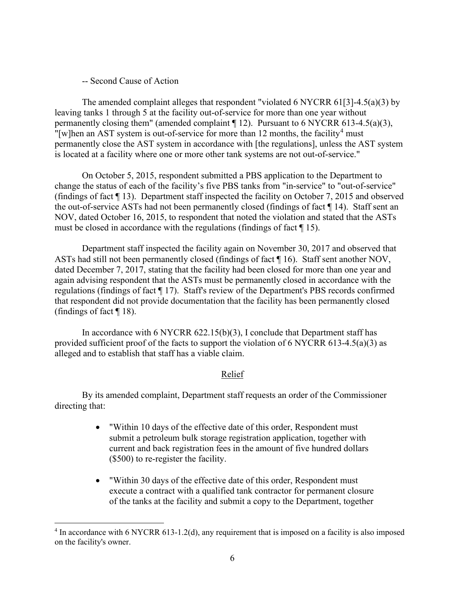### -- Second Cause of Action

The amended complaint alleges that respondent "violated 6 NYCRR 61[3]-4.5(a)(3) by leaving tanks 1 through 5 at the facility out-of-service for more than one year without permanently closing them" (amended complaint ¶ 12). Pursuant to 6 NYCRR 613-4.5(a)(3), "[w]hen an AST system is out-of-service for more than 12 months, the facility<sup>[4](#page-10-0)</sup> must permanently close the AST system in accordance with [the regulations], unless the AST system is located at a facility where one or more other tank systems are not out-of-service."

On October 5, 2015, respondent submitted a PBS application to the Department to change the status of each of the facility's five PBS tanks from "in-service" to "out-of-service" (findings of fact ¶ 13). Department staff inspected the facility on October 7, 2015 and observed the out-of-service ASTs had not been permanently closed (findings of fact ¶ 14). Staff sent an NOV, dated October 16, 2015, to respondent that noted the violation and stated that the ASTs must be closed in accordance with the regulations (findings of fact ¶ 15).

Department staff inspected the facility again on November 30, 2017 and observed that ASTs had still not been permanently closed (findings of fact ¶ 16). Staff sent another NOV, dated December 7, 2017, stating that the facility had been closed for more than one year and again advising respondent that the ASTs must be permanently closed in accordance with the regulations (findings of fact  $\P$  17). Staff's review of the Department's PBS records confirmed that respondent did not provide documentation that the facility has been permanently closed (findings of fact  $\P$  18).

In accordance with 6 NYCRR 622.15(b)(3), I conclude that Department staff has provided sufficient proof of the facts to support the violation of 6 NYCRR 613-4.5(a)(3) as alleged and to establish that staff has a viable claim.

### Relief

By its amended complaint, Department staff requests an order of the Commissioner directing that:

- "Within 10 days of the effective date of this order, Respondent must submit a petroleum bulk storage registration application, together with current and back registration fees in the amount of five hundred dollars (\$500) to re-register the facility.
- "Within 30 days of the effective date of this order, Respondent must execute a contract with a qualified tank contractor for permanent closure of the tanks at the facility and submit a copy to the Department, together

<span id="page-10-0"></span><sup>&</sup>lt;sup>4</sup> In accordance with 6 NYCRR 613-1.2(d), any requirement that is imposed on a facility is also imposed on the facility's owner.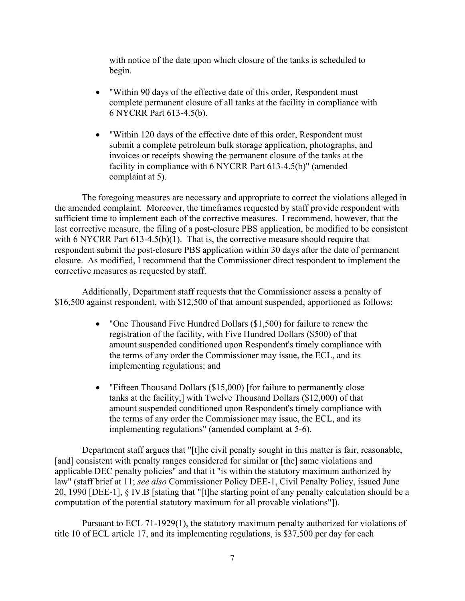with notice of the date upon which closure of the tanks is scheduled to begin.

- "Within 90 days of the effective date of this order, Respondent must complete permanent closure of all tanks at the facility in compliance with 6 NYCRR Part 613-4.5(b).
- "Within 120 days of the effective date of this order, Respondent must submit a complete petroleum bulk storage application, photographs, and invoices or receipts showing the permanent closure of the tanks at the facility in compliance with 6 NYCRR Part 613-4.5(b)" (amended complaint at 5).

The foregoing measures are necessary and appropriate to correct the violations alleged in the amended complaint. Moreover, the timeframes requested by staff provide respondent with sufficient time to implement each of the corrective measures. I recommend, however, that the last corrective measure, the filing of a post-closure PBS application, be modified to be consistent with 6 NYCRR Part 613-4.5(b)(1). That is, the corrective measure should require that respondent submit the post-closure PBS application within 30 days after the date of permanent closure. As modified, I recommend that the Commissioner direct respondent to implement the corrective measures as requested by staff.

Additionally, Department staff requests that the Commissioner assess a penalty of \$16,500 against respondent, with \$12,500 of that amount suspended, apportioned as follows:

- "One Thousand Five Hundred Dollars (\$1,500) for failure to renew the registration of the facility, with Five Hundred Dollars (\$500) of that amount suspended conditioned upon Respondent's timely compliance with the terms of any order the Commissioner may issue, the ECL, and its implementing regulations; and
- "Fifteen Thousand Dollars (\$15,000) [for failure to permanently close tanks at the facility,] with Twelve Thousand Dollars (\$12,000) of that amount suspended conditioned upon Respondent's timely compliance with the terms of any order the Commissioner may issue, the ECL, and its implementing regulations" (amended complaint at 5-6).

Department staff argues that "[t]he civil penalty sought in this matter is fair, reasonable, [and] consistent with penalty ranges considered for similar or [the] same violations and applicable DEC penalty policies" and that it "is within the statutory maximum authorized by law" (staff brief at 11; *see also* Commissioner Policy DEE-1, Civil Penalty Policy, issued June 20, 1990 [DEE-1], § IV.B [stating that "[t]he starting point of any penalty calculation should be a computation of the potential statutory maximum for all provable violations"]).

Pursuant to ECL 71-1929(1), the statutory maximum penalty authorized for violations of title 10 of ECL article 17, and its implementing regulations, is \$37,500 per day for each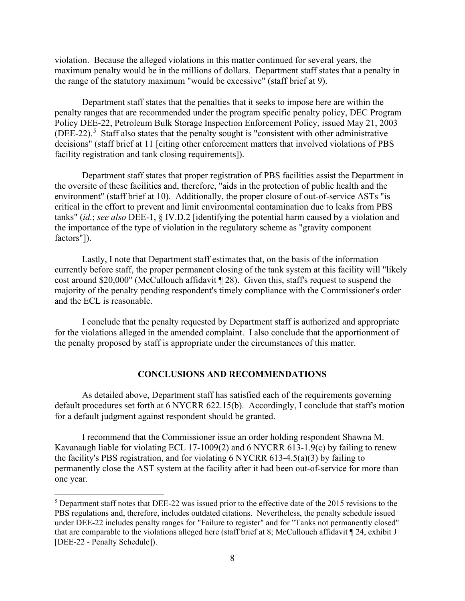violation. Because the alleged violations in this matter continued for several years, the maximum penalty would be in the millions of dollars. Department staff states that a penalty in the range of the statutory maximum "would be excessive" (staff brief at 9).

Department staff states that the penalties that it seeks to impose here are within the penalty ranges that are recommended under the program specific penalty policy, DEC Program Policy DEE-22, Petroleum Bulk Storage Inspection Enforcement Policy, issued May 21, 2003  $(DEE-22).$ <sup>[5](#page-12-0)</sup> Staff also states that the penalty sought is "consistent with other administrative decisions" (staff brief at 11 [citing other enforcement matters that involved violations of PBS facility registration and tank closing requirements]).

Department staff states that proper registration of PBS facilities assist the Department in the oversite of these facilities and, therefore, "aids in the protection of public health and the environment" (staff brief at 10). Additionally, the proper closure of out-of-service ASTs "is critical in the effort to prevent and limit environmental contamination due to leaks from PBS tanks" (*id.*; *see also* DEE-1, § IV.D.2 [identifying the potential harm caused by a violation and the importance of the type of violation in the regulatory scheme as "gravity component factors"]).

Lastly, I note that Department staff estimates that, on the basis of the information currently before staff, the proper permanent closing of the tank system at this facility will "likely cost around \$20,000" (McCullouch affidavit ¶ 28). Given this, staff's request to suspend the majority of the penalty pending respondent's timely compliance with the Commissioner's order and the ECL is reasonable.

I conclude that the penalty requested by Department staff is authorized and appropriate for the violations alleged in the amended complaint. I also conclude that the apportionment of the penalty proposed by staff is appropriate under the circumstances of this matter.

#### **CONCLUSIONS AND RECOMMENDATIONS**

As detailed above, Department staff has satisfied each of the requirements governing default procedures set forth at 6 NYCRR 622.15(b). Accordingly, I conclude that staff's motion for a default judgment against respondent should be granted.

I recommend that the Commissioner issue an order holding respondent Shawna M. Kavanaugh liable for violating ECL 17-1009(2) and 6 NYCRR 613-1.9(c) by failing to renew the facility's PBS registration, and for violating 6 NYCRR 613-4.5(a)(3) by failing to permanently close the AST system at the facility after it had been out-of-service for more than one year.

<span id="page-12-0"></span> $<sup>5</sup>$  Department staff notes that DEE-22 was issued prior to the effective date of the 2015 revisions to the</sup> PBS regulations and, therefore, includes outdated citations. Nevertheless, the penalty schedule issued under DEE-22 includes penalty ranges for "Failure to register" and for "Tanks not permanently closed" that are comparable to the violations alleged here (staff brief at 8; McCullouch affidavit ¶ 24, exhibit J [DEE-22 - Penalty Schedule]).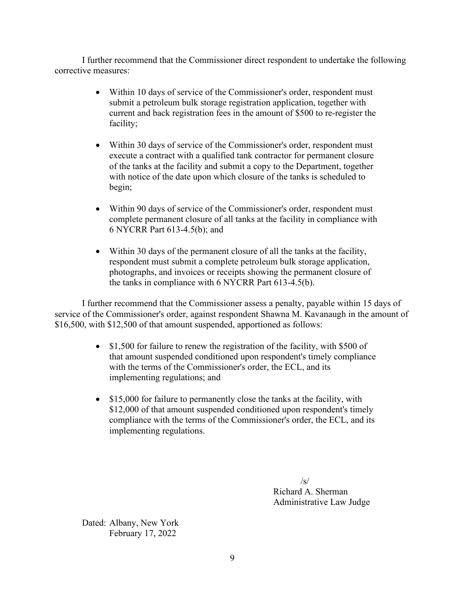I further recommend that the Commissioner direct respondent to undertake the following corrective measures:

- Within 10 days of service of the Commissioner's order, respondent must submit a petroleum bulk storage registration application, together with current and back registration fees in the amount of \$500 to re-register the facility;
- Within 30 days of service of the Commissioner's order, respondent must execute a contract with a qualified tank contractor for permanent closure of the tanks at the facility and submit a copy to the Department, together with notice of the date upon which closure of the tanks is scheduled to begin;
- Within 90 days of service of the Commissioner's order, respondent must complete permanent closure of all tanks at the facility in compliance with 6 NYCRR Part 613-4.5(b); and
- Within 30 days of the permanent closure of all the tanks at the facility, respondent must submit a complete petroleum bulk storage application, photographs, and invoices or receipts showing the permanent closure of the tanks in compliance with 6 NYCRR Part 613-4.5(b).

I further recommend that the Commissioner assess a penalty, payable within 15 days of service of the Commissioner's order, against respondent Shawna M. Kavanaugh in the amount of \$16,500, with \$12,500 of that amount suspended, apportioned as follows:

- \$1,500 for failure to renew the registration of the facility, with \$500 of that amount suspended conditioned upon respondent's timely compliance with the terms of the Commissioner's order, the ECL, and its implementing regulations; and
- \$15,000 for failure to permanently close the tanks at the facility, with \$12,000 of that amount suspended conditioned upon respondent's timely compliance with the terms of the Commissioner's order, the ECL, and its implementing regulations.

 $\sqrt{s}$ Richard A. Sherman Administrative Law Judge

Dated: Albany, New York February 17, 2022